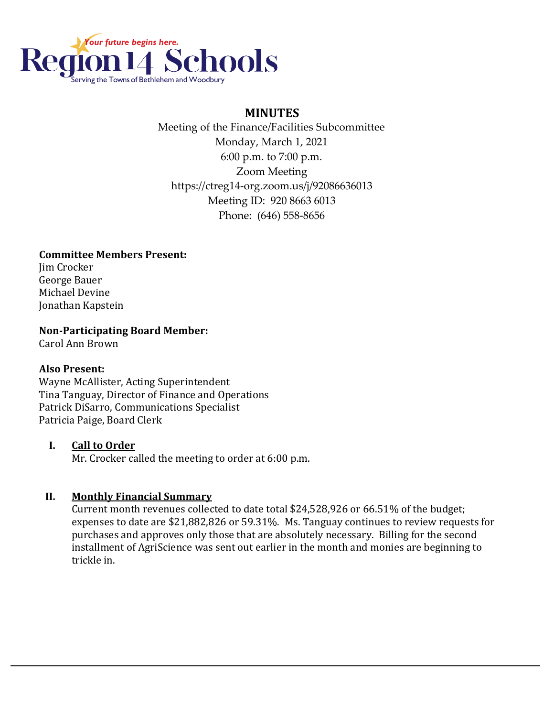

# **MINUTES**

 Meeting of the Finance/Facilities Subcommittee Monday, March 1, 2021 6:00 p.m. to 7:00 p.m. Zoom Meeting https://ctreg14-org.zoom.us/j/92086636013 Meeting ID: 920 8663 6013 Phone: (646) 558-8656

#### **Committee Members Present:**

Jim Crocker George Bauer Michael Devine Jonathan Kapstein

**Non-Participating Board Member:**

Carol Ann Brown

#### **Also Present:**

Wayne McAllister, Acting Superintendent Tina Tanguay, Director of Finance and Operations Patrick DiSarro, Communications Specialist Patricia Paige, Board Clerk

#### **I. Call to Order**

Mr. Crocker called the meeting to order at 6:00 p.m.

#### **II. Monthly Financial Summary**

Current month revenues collected to date total \$24,528,926 or 66.51% of the budget; expenses to date are \$21,882,826 or 59.31%. Ms. Tanguay continues to review requests for purchases and approves only those that are absolutely necessary. Billing for the second installment of AgriScience was sent out earlier in the month and monies are beginning to trickle in.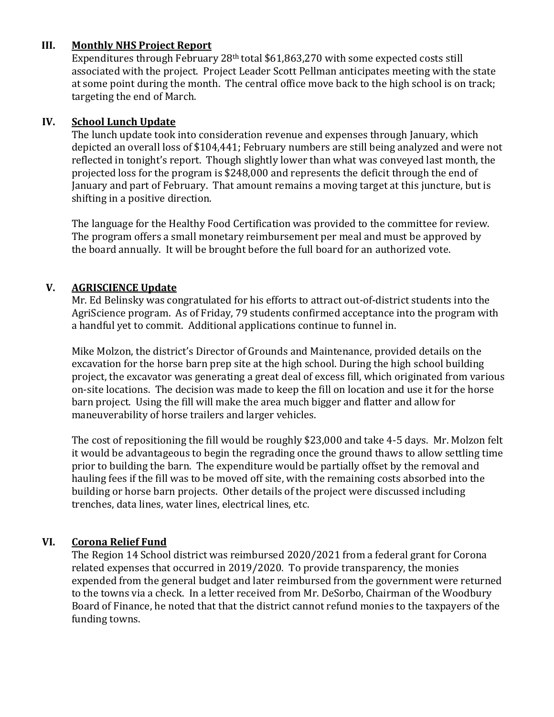### **III. Monthly NHS Project Report**

Expenditures through February 28<sup>th</sup> total \$61,863,270 with some expected costs still associated with the project. Project Leader Scott Pellman anticipates meeting with the state at some point during the month. The central office move back to the high school is on track; targeting the end of March.

### **IV. School Lunch Update**

The lunch update took into consideration revenue and expenses through January, which depicted an overall loss of \$104,441; February numbers are still being analyzed and were not reflected in tonight's report. Though slightly lower than what was conveyed last month, the projected loss for the program is \$248,000 and represents the deficit through the end of January and part of February. That amount remains a moving target at this juncture, but is shifting in a positive direction.

The language for the Healthy Food Certification was provided to the committee for review. The program offers a small monetary reimbursement per meal and must be approved by the board annually. It will be brought before the full board for an authorized vote.

### **V. AGRISCIENCE Update**

Mr. Ed Belinsky was congratulated for his efforts to attract out-of-district students into the AgriScience program. As of Friday, 79 students confirmed acceptance into the program with a handful yet to commit. Additional applications continue to funnel in.

Mike Molzon, the district's Director of Grounds and Maintenance, provided details on the excavation for the horse barn prep site at the high school. During the high school building project, the excavator was generating a great deal of excess fill, which originated from various on-site locations. The decision was made to keep the fill on location and use it for the horse barn project. Using the fill will make the area much bigger and flatter and allow for maneuverability of horse trailers and larger vehicles.

The cost of repositioning the fill would be roughly \$23,000 and take 4-5 days. Mr. Molzon felt it would be advantageous to begin the regrading once the ground thaws to allow settling time prior to building the barn. The expenditure would be partially offset by the removal and hauling fees if the fill was to be moved off site, with the remaining costs absorbed into the building or horse barn projects. Other details of the project were discussed including trenches, data lines, water lines, electrical lines, etc.

## **VI. Corona Relief Fund**

The Region 14 School district was reimbursed 2020/2021 from a federal grant for Corona related expenses that occurred in 2019/2020. To provide transparency, the monies expended from the general budget and later reimbursed from the government were returned to the towns via a check. In a letter received from Mr. DeSorbo, Chairman of the Woodbury Board of Finance, he noted that that the district cannot refund monies to the taxpayers of the funding towns.